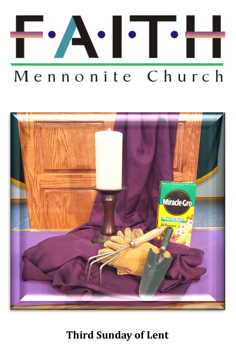



**Third Sunday of Lent**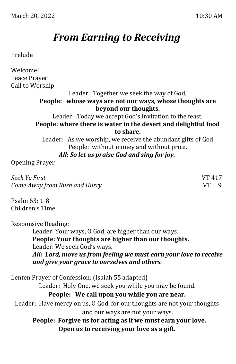# *From Earning to Receiving*

## Prelude

Welcome! Peace Prayer Call to Worship

Leader: Together we seek the way of God, **People: whose ways are not our ways, whose thoughts are beyond our thoughts.**

Leader: Today we accept God's invitation to the feast, **People: where there is water in the desert and delightful food to share.**

Leader: As we worship, we receive the abundant gifts of God People: without money and without price. *All: So let us praise God and sing for joy.*

Opening Prayer

*Seek Ye First* VT 417 *Come Away from Rush and Hurry* VT 9

Psalm 63: 1-8 Children's Time

Responsive Reading:

Leader: Your ways, O God, are higher than our ways. **People: Your thoughts are higher than our thoughts.** Leader: We seek God's ways.

*All: Lord, move us from feeling we must earn your love to receive and give your grace to ourselves and others.*

Lenten Prayer of Confession: (Isaiah 55 adapted) Leader: Holy One, we seek you while you may be found. **People: We call upon you while you are near.** Leader: Have mercy on us, O God, for our thoughts are not your thoughts and our ways are not your ways. **People: Forgive us for acting as if we must earn your love. Open us to receiving your love as a gift.**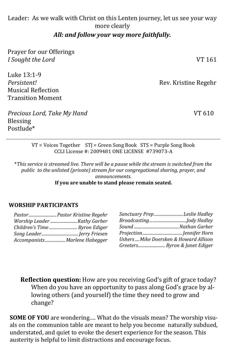## Leader: As we walk with Christ on this Lenten journey, let us see your way more clearly

### *All: and follow your way more faithfully.*

| Prayer for our Offerings    |                      |
|-----------------------------|----------------------|
| I Sought the Lord           | VT 161               |
| Luke 13:1-9                 |                      |
| Persistent!                 | Rev. Kristine Regehr |
| <b>Musical Reflection</b>   |                      |
| <b>Transition Moment</b>    |                      |
| Precious Lord, Take My Hand | VT 610               |
| <b>Blessing</b>             |                      |

VT = Voices Together STJ = Green Song Book STS = Purple Song Book CCLI License #: 2009481 ONE LICENSE #739073-A

\**This service is streamed live. There will be a pause while the stream is switched from the public to the unlisted (private) stream for our congregational sharing, prayer, and announcements.*  **If you are unable to stand please remain seated.**

#### **WORSHIP PARTICIPANTS**

Postlude\*

|                               | Sanctuary Prep Leslie Hadley           |
|-------------------------------|----------------------------------------|
|                               |                                        |
| Children's Time  Byron Ediger |                                        |
| Song Leader Jerry Friesen     |                                        |
| Accompanists Marlene Habegger | Ushers  Mike Doersken & Howard Allison |
|                               | Greeters Byron & Janet Ediger          |

**Reflection question:** How are you receiving God's gift of grace today? When do you have an opportunity to pass along God's grace by allowing others (and yourself) the time they need to grow and change?

**SOME OF YOU** are wondering…. What do the visuals mean? The worship visuals on the communion table are meant to help you become naturally subdued, understated, and quiet to evoke the desert experience for the season. This austerity is helpful to limit distractions and encourage focus.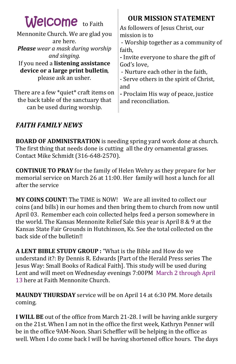| <b>Welcome</b> to Faith                                                                                       | <b>OUR MISSION STATEMENT</b>                                                                                  |
|---------------------------------------------------------------------------------------------------------------|---------------------------------------------------------------------------------------------------------------|
| Mennonite Church. We are glad you                                                                             | As followers of Jesus Christ, our                                                                             |
| are here.                                                                                                     | mission is to                                                                                                 |
| <b>Please</b> wear a mask during worship                                                                      | - Worship together as a community of                                                                          |
| and singing.                                                                                                  | faith,                                                                                                        |
| If you need a listening assistance                                                                            | - Invite everyone to share the gift of                                                                        |
| device or a large print bulletin,                                                                             | God's love,                                                                                                   |
| please ask an usher.                                                                                          | - Nurture each other in the faith,                                                                            |
| There are a few *quiet* craft items on<br>the back table of the sanctuary that<br>can be used during worship. | - Serve others in the spirit of Christ,<br>and<br>- Proclaim His way of peace, justice<br>and reconciliation. |

ı

# *FAITH FAMILY NEWS*

**BOARD OF ADMINISTRATION** is needing spring yard work done at church. The first thing that needs done is cutting all the dry ornamental grasses. Contact Mike Schmidt (316-648-2570).

**CONTINUE TO PRAY** for the family of Helen Wehry as they prepare for her memorial service on March 26 at 11:00. Her family will host a lunch for all after the service

**MY COINS COUNT**! The TIME is NOW! We are all invited to collect our coins (and bills) in our homes and then bring them to church from now until April 03. Remember each coin collected helps feed a person somewhere in the world. The Kansas Mennonite Relief Sale this year is April 8 & 9 at the Kansas State Fair Grounds in Hutchinson, Ks. See the total collected on the back side of the bulletin!!

**A LENT BIBLE STUDY GROUP :** "What is the Bible and How do we understand it?: By Dennis R. Edwards [Part of the Herald Press series The Jesus Way: Small Books of Radical Faith]. This study will be used during Lent and will meet on Wednesday evenings 7:00PM March 2 through April 13 here at Faith Mennonite Church.

**MAUNDY THURSDAY** service will be on April 14 at 6:30 PM. More details coming.

**I WILL BE** out of the office from March 21-28. I will be having ankle surgery on the 21st. When I am not in the office the first week, Kathryn Penner will be in the office 9AM-Noon. Shari Scheffler will be helping in the office as well. When I do come back I will be having shortened office hours. The days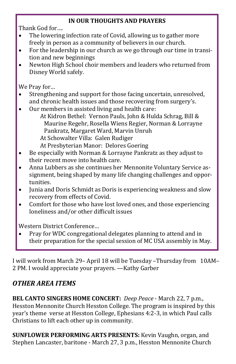# **IN OUR THOUGHTS AND PRAYERS**

Thank God for….

- The lowering infection rate of Covid, allowing us to gather more freely in person as a community of believers in our church.
- For the leadership in our church as we go through our time in transition and new beginnings
- Newton High School choir members and leaders who returned from Disney World safely.

We Pray for…

- Strengthening and support for those facing uncertain, unresolved, and chronic health issues and those recovering from surgery's.
- Our members in assisted living and health care: At Kidron Bethel: Vernon Pauls, John & Hulda Schrag, Bill & Maurine Regehr, Rosella Wiens Regier, Norman & Lorrayne

 Pankratz, Margaret Ward, Marvin Unruh At Schowalter Villa: Galen Rudiger

At Presbyterian Manor: Delores Goering

- Be especially with Norman & Lorrayne Pankratz as they adjust to their recent move into health care.
- Anna Lubbers as she continues her Mennonite Voluntary Service assignment, being shaped by many life changing challenges and opportunities.
- Junia and Doris Schmidt as Doris is experiencing weakness and slow recovery from effects of Covid.
- Comfort for those who have lost loved ones, and those experiencing loneliness and/or other difficult issues

Western District Conference…

• Pray for WDC congregational delegates planning to attend and in their preparation for the special session of MC USA assembly in May.

I will work from March 29– April 18 will be Tuesday –Thursday from 10AM– 2 PM. I would appreciate your prayers. —Kathy Garber

# *OTHER AREA ITEMS*

**BEL CANTO SINGERS HOME CONCERT:** *[Deep Peace](http://click.gotoextinguisher.com/click/ap3h-2icc9f-wl6gxq-7811x5s4/)* - March 22, 7 p.m., Hesston Mennonite Church Hesston College. The program is inspired by this year's theme verse at Hesston College, Ephesians 4:2-3, in which Paul calls Christians to lift each other up in community.

**SUNFLOWER PERFORMING ARTS PRESENTS:** [Kevin Vaughn, organ, and](http://click.gotoextinguisher.com/click/ap3h-2icc9f-wl6gxu-7811x5s8/)  [Stephen Lancaster, baritone](http://click.gotoextinguisher.com/click/ap3h-2icc9f-wl6gxu-7811x5s8/) - March 27, 3 p.m., Hesston Mennonite Church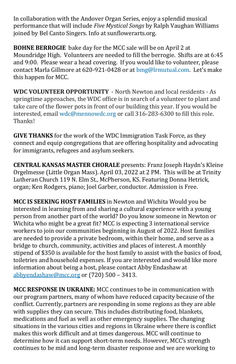In collaboration with the Andover Organ Series, enjoy a splendid musical performance that will include *Five Mystical Songs* by Ralph Vaughan Williams joined by Bel Canto Singers. Info at [sunflowerarts.org.](http://click.gotoextinguisher.com/click/ap3h-2icc9f-wl6gxv-7811x5s9/)

**BOHNE BERROGIE** bake day for the MCC sale will be on April 2 at Moundridge High. Volunteers are needed to fill the berrogie. Shifts are at 6:45 and 9:00. Please wear a head covering. If you would like to volunteer, please contact Marla Gillmore at 620-921-0428 or at [bmg@lrmutual.com.](mailto:bmg@lrmutual.com) Let's make this happen for MCC.

**WDC VOLUNTEER OPPORTUNITY** - North Newton and local residents - As springtime approaches, the WDC office is in search of a volunteer to plant and take care of the flower pots in front of our building this year. If you would be interested, email [wdc@mennowdc.org](mailto:wdc@mennowdc.org) or call 316-283-6300 to fill this role. Thanks!

**GIVE THANKS** for the work of the WDC Immigration Task Force, as they connect and equip congregations that are offering hospitality and advocating for immigrants, refugees and asylum seekers.

**CENTRAL KANSAS MASTER CHORALE** presents: Franz Joseph Haydn's Kleine Orgelmesse (Little Organ Mass). April 03, 2022 at 2 PM. This will be at Trinity Lutheran Church 119 N. Elm St., McPherson, KS. Featuring Donna Hetrick, organ; Ken Rodgers, piano; Joel Garber, conductor. Admission is Free.

**MCC IS SEEKING HOST FAMILIES** in Newton and Wichita Would you be interested in learning from and sharing a cultural experience with a young person from another part of the world? Do you know someone in Newton or Wichita who might be a great fit? MCC is expecting 3 international service workers to join our communities beginning in August of 2022. Host families are needed to provide a private bedroom, within their home, and serve as a bridge to church, community, activities and places of interest. A monthly stipend of \$350 is available for the host family to assist with the basics of food, toiletries and household expenses. If you are interested and would like more information about being a host, please contact Abby Endashaw at [abbyendashaw@mcc.org](mailto:abbyendashaw@mcc.org) or (720) 500 – 3413.

**MCC RESPONSE IN UKRAINE:** MCC continues to be in communication with our program partners, many of whom have reduced capacity because of the conflict. Currently, partners are responding in some regions as they are able with supplies they can secure. This includes distributing food, blankets, medications and fuel as well as other emergency supplies. The changing situations in the various cities and regions in Ukraine where there is conflict makes this work difficult and at times dangerous. MCC will continue to determine how it can support short-term needs. However, MCC's strength continues to be mid and long-term disaster response and we are working to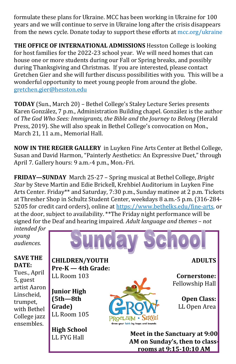formulate these plans for Ukraine. MCC has been working in Ukraine for 100 years and we will continue to serve in Ukraine long after the crisis disappears from the news cycle. Donate today to support these efforts at [mcc.org/ukraine](https://donate.mcc.org/cause/ukraine-emergency-response)

**THE OFFICE OF INTERNATIONAL ADMISSIONS** Hesston College is looking for host families for the 2022-23 school year. We will need homes that can house one or more students during our Fall or Spring breaks, and possibly during Thanksgiving and Christmas. If you are interested, please contact Gretchen Gier and she will further discuss possibilities with you. This will be a wonderful opportunity to meet young people from around the globe. [gretchen.gier@hesston.edu](mailto:gretchen.gier@hesston.edu)

**TODAY** (Sun., March 20) – Bethel College's Staley Lecture Series presents Karen González, 7 p.m., Administration Building chapel. González is the author of *The God Who Sees: Immigrants, the Bible and the Journey to Belong* (Herald Press, 2019). She will also speak in Bethel College's convocation on Mon., March 21, 11 a.m., Memorial Hall.

**NOW IN THE REGIER GALLERY** in Luyken Fine Arts Center at Bethel College, Susan and David Harmon, "Painterly Aesthetics: An Expressive Duet," through April 7. Gallery hours: 9 a.m.-4 p.m., Mon.-Fri.

**FRIDAY—SUNDAY** March 25-27 – Spring musical at Bethel College, *Bright Star* by Steve Martin and Edie Brickell, Krehbiel Auditorium in Luyken Fine Arts Center. Friday\*\* and Saturday, 7:30 p.m., Sunday matinee at 2 p.m. Tickets at Thresher Shop in Schultz Student Center, weekdays 8 a.m.-5 p.m. (316-284- 5205 for credit card orders), online at [https://www.bethelks.edu/fine](https://www.bethelks.edu/fine-arts)-arts, or at the door, subject to availability. \*\*The Friday night performance will be signed for the Deaf and hearing impaired. *Adult language and themes – not intended for* 

> **CHILDREN/YOUTH Pre-K — 4th Grade:**

LL Room 103

**Junior High (5th—8th Grade)** LL Room 105

**High School**  LL FYG Hall

*young audiences.* 

#### **SAVE THE DATE:**

Tues., April 5, guest artist Aaron Linscheid, trumpet, with Bethel College jazz ensembles.



PROCLAIM • SERVE! **Grow your faith by leaps and bound** 

**ADULTS**

**Cornerstone:**  Fellowship Hall

> **Open Class:** LL Open Area

**Meet in the Sanctuary at 9:00 AM on Sunday's, then to classrooms at 9:15-10:10 AM**